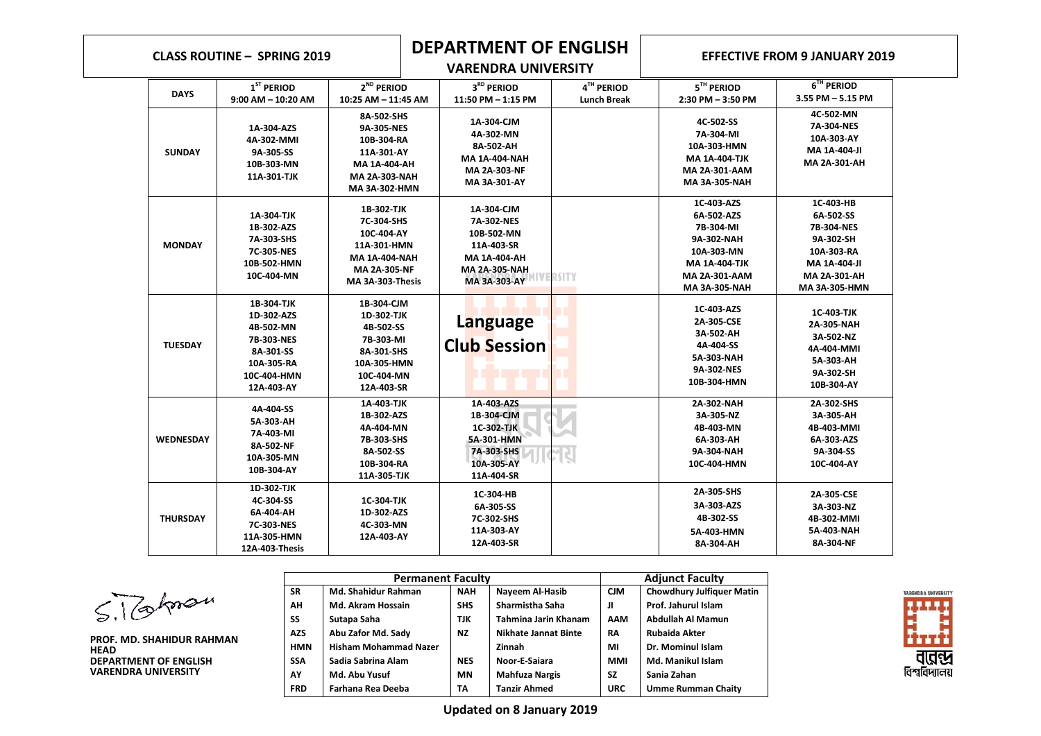## **CLASS ROUTINE – SPRING <sup>2019</sup> DEPARTMENT OF ENGLISH VARENDRA UNIVERSITY**

## **EFFECTIVE FROM 9 JANUARY 2019**

| <b>DAYS</b>      | $1ST$ PERIOD                                                                                                | 2 <sup>ND</sup> PERIOD                                                                                                   | 3 <sup>RD</sup> PERIOD                                                                                       | 4TH PERIOD         | $5TH$ PERIOD                                                                                                                              | 6 <sup>TH</sup> PERIOD                                                                                           |
|------------------|-------------------------------------------------------------------------------------------------------------|--------------------------------------------------------------------------------------------------------------------------|--------------------------------------------------------------------------------------------------------------|--------------------|-------------------------------------------------------------------------------------------------------------------------------------------|------------------------------------------------------------------------------------------------------------------|
|                  | $9:00$ AM $-$ 10:20 AM                                                                                      | 10:25 AM - 11:45 AM                                                                                                      | 11:50 PM - 1:15 PM                                                                                           | <b>Lunch Break</b> | $2:30$ PM $-3:50$ PM                                                                                                                      | 3.55 PM - 5.15 PM                                                                                                |
| <b>SUNDAY</b>    | 1A-304-AZS<br>4A-302-MMI<br>9A-305-SS<br>10B-303-MN<br>11A-301-TJK                                          | 8A-502-SHS<br>9A-305-NES<br>10B-304-RA<br>11A-301-AY<br>MA 1A-404-AH<br><b>MA 2A-303-NAH</b><br>MA 3A-302-HMN            | 1A-304-CJM<br>4A-302-MN<br>8A-502-AH<br><b>MA 1A-404-NAH</b><br>MA 2A-303-NF<br>MA 3A-301-AY                 |                    | 4C-502-SS<br>7A-304 MI<br>10A-303-HMN<br><b>MA 1A-404-TJK</b><br><b>MA 2A-301-AAM</b><br><b>MA 3A-305-NAH</b>                             | 4C-502-MN<br>7A-304-NES<br>10A-303-AY<br>MA 1A-404-JI<br>MA 2A-301-AH                                            |
| <b>MONDAY</b>    | 1A-304-TJK<br>1B-302-AZS<br>7A-303-SHS<br>7C-305-NES<br>10B-502-HMN<br>10C-404-MN                           | 1B 302 TJK<br>7C-304-SHS<br>10C-404-AY<br>11A-301-HMN<br><b>MA 1A-404-NAH</b><br><b>MA 2A-305-NF</b><br>MA 3A-303-Thesis | 1A-304-CJM<br>7A-302-NES<br>10B-502-MN<br>11A-403-SR<br>MA 1A-404-AH<br><b>MA 2A-305-NAH</b><br>MA 3A-303-AY | RSITY              | 1C-403-AZS<br>6A-502-AZS<br>7B-304-MI<br>9A-302-NAH<br>10A-303-MN<br><b>MA 1A-404-TJK</b><br><b>MA 2A-301-AAM</b><br><b>MA 3A-305-NAH</b> | 1C-403-HB<br>6A-502-SS<br>7B-304-NES<br>9A-302-SH<br>10A-303-RA<br>MA 1A-404-JI<br>MA 2A-301-AH<br>MA 3A-305-HMN |
| <b>TUESDAY</b>   | 1B 304 TJK<br>1D-302-AZS<br>4B-502-MN<br>7B-303-NES<br>8A-301-SS<br>10A-305-RA<br>10C-404-HMN<br>12A-403-AY | 1B-304-CJM<br>1D 302 TJK<br>4B-502-SS<br>7B-303-MI<br>8A-301-SHS<br>10A-305-HMN<br>10C-404-MN<br>12A 403-SR              | <b>Language</b><br><b>Club Session</b>                                                                       |                    | 1C-403-AZS<br>2A-305 CSE<br>3A-502-AH<br>4A-404-SS<br>5A-303-NAH<br>9A-302-NES<br>10B-304-HMN                                             | <b>1C 403 TJK</b><br>2A-305-NAH<br>3A-502-NZ<br>4A-404-MMI<br>5A-303-AH<br>9A-302-SH<br>10B-304-AY               |
| <b>WEDNESDAY</b> | 4A-404-SS<br>5A-303-AH<br>7A-403-MI<br>8A-502-NF<br>10A-305-MN<br>10B-304-AY                                | 1A-403-TJK<br>1B-302-AZS<br>4A-404-MN<br>7B-303-SHS<br>8A-502-SS<br>10B-304-RA<br>11A-305-TJK                            | 1A-403-AZS<br>1B-304-CJM<br>1C-302-TJK<br>5A-301-HMN<br>7A-303-SHS<br>10A-305-AY<br>11A-404-SR               |                    | 2A-302-NAH<br>3A-305-NZ<br>4B-403-MN<br>6A-303-AH<br>9A-304 NAH<br>10C-404-HMN                                                            | 2A-302-SHS<br>3A-305-AH<br>4B-403-MMI<br>6A-303-AZS<br>9A-304-SS<br>10C-404-AY                                   |
| <b>THURSDAY</b>  | 1D-302-TJK<br>4C-304-SS<br>6A-404-AH<br>7C-303-NES<br>11A-305-HMN<br>12A-403-Thesis                         | <b>1C-304 TJK</b><br>1D-302-AZS<br>4C-303-MN<br>12A-403-AY                                                               | 1C-304-HB<br>6A-305-SS<br>7C-302-SHS<br>11A-303-AY<br>12A-403-SR                                             |                    | 2A-305-SHS<br>3A-303-AZS<br>4B-302-SS<br>5A-403-HMN<br>8A-304-AH                                                                          | 2A-305-CSE<br>3A-303-NZ<br>4B-302-MMI<br>5A-403-NAH<br>8A-304-NF                                                 |

| S. Tahnan |  |
|-----------|--|
|           |  |

**PROF. MD. SHAHIDUR RAHMAN HEAD DEPARTMENT OF ENGLISH VARENDRA UNIVERSITY**

| <b>Permanent Faculty</b> |                              |            |                       |            | <b>Adjunct Faculty</b>           |  |
|--------------------------|------------------------------|------------|-----------------------|------------|----------------------------------|--|
| <b>SR</b>                | <b>Md. Shahidur Rahman</b>   | <b>NAH</b> | Nayeem Al-Hasib       | <b>CJM</b> | <b>Chowdhury Julfiquer Matin</b> |  |
| AH                       | <b>Md. Akram Hossain</b>     | <b>SHS</b> | Sharmistha Saha       | Л          | Prof. Jahurul Islam              |  |
| SS                       | Sutapa Saha                  | TJK        | Tahmina Jarin Khanam  | AAM        | Abdullah Al Mamun                |  |
| <b>AZS</b>               | Abu Zafor Md. Sady           | <b>NZ</b>  | Nikhate Jannat Binte  | <b>RA</b>  | <b>Rubaida Akter</b>             |  |
| <b>HMN</b>               | <b>Hisham Mohammad Nazer</b> |            | Zinnah                | MI         | Dr. Mominul Islam                |  |
| <b>SSA</b>               | Sadia Sabrina Alam           | <b>NES</b> | Noor-E-Saiara         | <b>MMI</b> | Md. Manikul Islam                |  |
| AY                       | Md. Abu Yusuf                | ΜN         | <b>Mahfuza Nargis</b> | <b>SZ</b>  | Sania Zahan                      |  |
| <b>FRD</b>               | Farhana Rea Deeba            | ТΑ         | <b>Tanzir Ahmed</b>   | <b>URC</b> | <b>Umme Rumman Chaity</b>        |  |